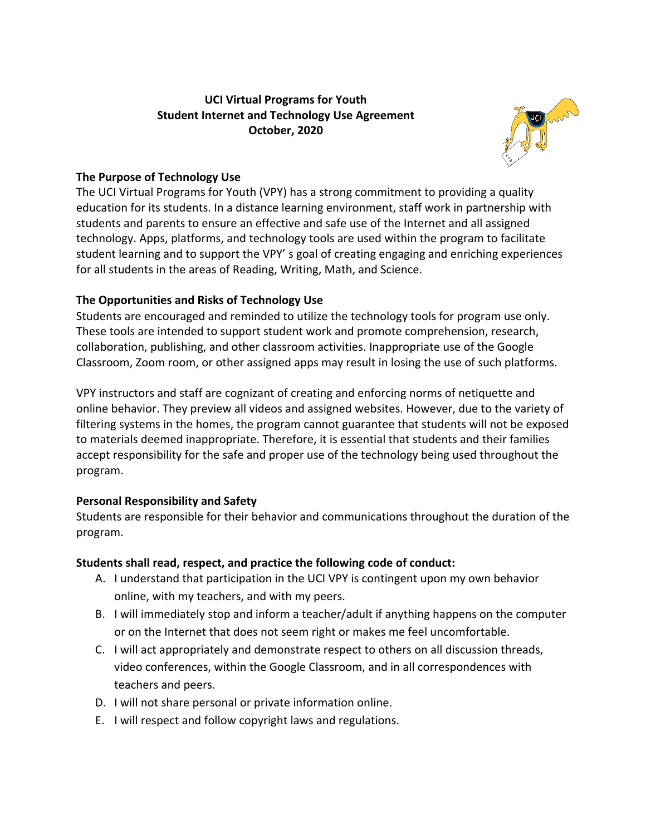# **UCI Virtual Programs for Youth Student Internet and Technology Use Agreement October, 2020**



# **The Purpose of Technology Use**

The UCI Virtual Programs for Youth (VPY) has a strong commitment to providing a quality education for its students. In a distance learning environment, staff work in partnership with students and parents to ensure an effective and safe use of the Internet and all assigned technology. Apps, platforms, and technology tools are used within the program to facilitate student learning and to support the VPY' s goal of creating engaging and enriching experiences for all students in the areas of Reading, Writing, Math, and Science.

# **The Opportunities and Risks of Technology Use**

Students are encouraged and reminded to utilize the technology tools for program use only. These tools are intended to support student work and promote comprehension, research, collaboration, publishing, and other classroom activities. Inappropriate use of the Google Classroom, Zoom room, or other assigned apps may result in losing the use of such platforms.

VPY instructors and staff are cognizant of creating and enforcing norms of netiquette and online behavior. They preview all videos and assigned websites. However, due to the variety of filtering systems in the homes, the program cannot guarantee that students will not be exposed to materials deemed inappropriate. Therefore, it is essential that students and their families accept responsibility for the safe and proper use of the technology being used throughout the program.

# **Personal Responsibility and Safety**

Students are responsible for their behavior and communications throughout the duration of the program.

### **Students shall read, respect, and practice the following code of conduct:**

- A. I understand that participation in the UCI VPY is contingent upon my own behavior online, with my teachers, and with my peers.
- B. I will immediately stop and inform a teacher/adult if anything happens on the computer or on the Internet that does not seem right or makes me feel uncomfortable.
- C. I will act appropriately and demonstrate respect to others on all discussion threads, video conferences, within the Google Classroom, and in all correspondences with teachers and peers.
- D. I will not share personal or private information online.
- E. I will respect and follow copyright laws and regulations.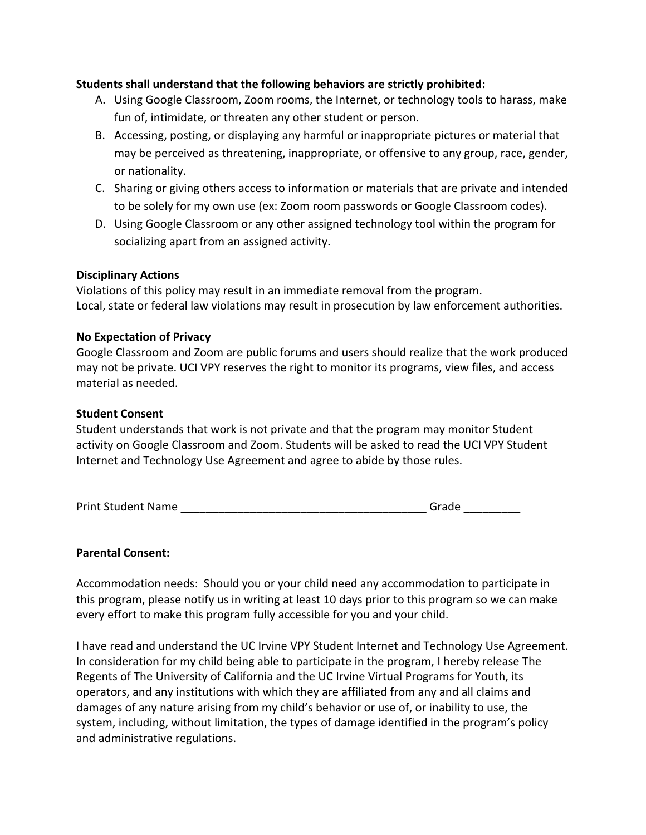### **Students shall understand that the following behaviors are strictly prohibited:**

- A. Using Google Classroom, Zoom rooms, the Internet, or technology tools to harass, make fun of, intimidate, or threaten any other student or person.
- B. Accessing, posting, or displaying any harmful or inappropriate pictures or material that may be perceived as threatening, inappropriate, or offensive to any group, race, gender, or nationality.
- C. Sharing or giving others access to information or materials that are private and intended to be solely for my own use (ex: Zoom room passwords or Google Classroom codes).
- D. Using Google Classroom or any other assigned technology tool within the program for socializing apart from an assigned activity.

#### **Disciplinary Actions**

Violations of this policy may result in an immediate removal from the program. Local, state or federal law violations may result in prosecution by law enforcement authorities.

#### **No Expectation of Privacy**

Google Classroom and Zoom are public forums and users should realize that the work produced may not be private. UCI VPY reserves the right to monitor its programs, view files, and access material as needed.

#### **Student Consent**

Student understands that work is not private and that the program may monitor Student activity on Google Classroom and Zoom. Students will be asked to read the UCI VPY Student Internet and Technology Use Agreement and agree to abide by those rules.

| <b>Print Student Name</b> | Grade |
|---------------------------|-------|
|                           |       |

#### **Parental Consent:**

Accommodation needs: Should you or your child need any accommodation to participate in this program, please notify us in writing at least 10 days prior to this program so we can make every effort to make this program fully accessible for you and your child.

I have read and understand the UC Irvine VPY Student Internet and Technology Use Agreement. In consideration for my child being able to participate in the program, I hereby release The Regents of The University of California and the UC Irvine Virtual Programs for Youth, its operators, and any institutions with which they are affiliated from any and all claims and damages of any nature arising from my child's behavior or use of, or inability to use, the system, including, without limitation, the types of damage identified in the program's policy and administrative regulations.